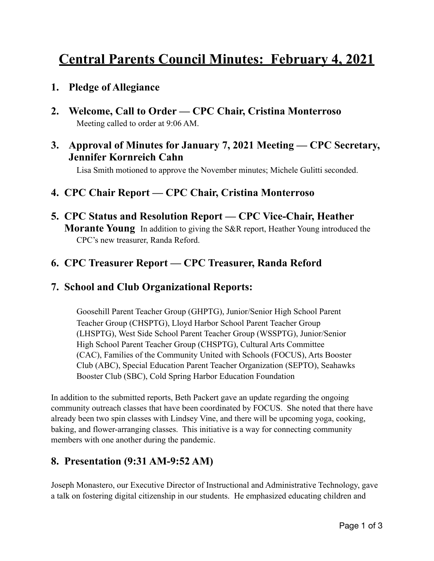# **Central Parents Council Minutes: February 4, 2021**

#### **1. Pledge of Allegiance**

- **2. Welcome, Call to Order CPC Chair, Cristina Monterroso**  Meeting called to order at 9:06 AM.
- **3. Approval of Minutes for January 7, 2021 Meeting CPC Secretary, Jennifer Kornreich Cahn**

Lisa Smith motioned to approve the November minutes; Michele Gulitti seconded.

#### **4. CPC Chair Report — CPC Chair, Cristina Monterroso**

**5. CPC Status and Resolution Report — CPC Vice-Chair, Heather Morante Young** In addition to giving the S&R report, Heather Young introduced the CPC's new treasurer, Randa Reford.

## **6. CPC Treasurer Report — CPC Treasurer, Randa Reford**

#### **7. School and Club Organizational Reports:**

Goosehill Parent Teacher Group (GHPTG), Junior/Senior High School Parent Teacher Group (CHSPTG), Lloyd Harbor School Parent Teacher Group (LHSPTG), West Side School Parent Teacher Group (WSSPTG), Junior/Senior High School Parent Teacher Group (CHSPTG), Cultural Arts Committee (CAC), Families of the Community United with Schools (FOCUS), Arts Booster Club (ABC), Special Education Parent Teacher Organization (SEPTO), Seahawks Booster Club (SBC), Cold Spring Harbor Education Foundation

In addition to the submitted reports, Beth Packert gave an update regarding the ongoing community outreach classes that have been coordinated by FOCUS. She noted that there have already been two spin classes with Lindsey Vine, and there will be upcoming yoga, cooking, baking, and flower-arranging classes. This initiative is a way for connecting community members with one another during the pandemic.

#### **8. Presentation (9:31 AM-9:52 AM)**

Joseph Monastero, our Executive Director of Instructional and Administrative Technology, gave a talk on fostering digital citizenship in our students. He emphasized educating children and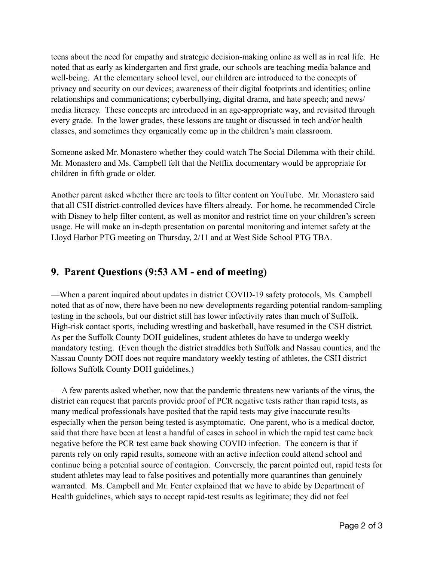teens about the need for empathy and strategic decision-making online as well as in real life. He noted that as early as kindergarten and first grade, our schools are teaching media balance and well-being. At the elementary school level, our children are introduced to the concepts of privacy and security on our devices; awareness of their digital footprints and identities; online relationships and communications; cyberbullying, digital drama, and hate speech; and news/ media literacy. These concepts are introduced in an age-appropriate way, and revisited through every grade. In the lower grades, these lessons are taught or discussed in tech and/or health classes, and sometimes they organically come up in the children's main classroom.

Someone asked Mr. Monastero whether they could watch The Social Dilemma with their child. Mr. Monastero and Ms. Campbell felt that the Netflix documentary would be appropriate for children in fifth grade or older.

Another parent asked whether there are tools to filter content on YouTube. Mr. Monastero said that all CSH district-controlled devices have filters already. For home, he recommended Circle with Disney to help filter content, as well as monitor and restrict time on your children's screen usage. He will make an in-depth presentation on parental monitoring and internet safety at the Lloyd Harbor PTG meeting on Thursday, 2/11 and at West Side School PTG TBA.

## **9. Parent Questions (9:53 AM - end of meeting)**

—When a parent inquired about updates in district COVID-19 safety protocols, Ms. Campbell noted that as of now, there have been no new developments regarding potential random-sampling testing in the schools, but our district still has lower infectivity rates than much of Suffolk. High-risk contact sports, including wrestling and basketball, have resumed in the CSH district. As per the Suffolk County DOH guidelines, student athletes do have to undergo weekly mandatory testing. (Even though the district straddles both Suffolk and Nassau counties, and the Nassau County DOH does not require mandatory weekly testing of athletes, the CSH district follows Suffolk County DOH guidelines.)

 —A few parents asked whether, now that the pandemic threatens new variants of the virus, the district can request that parents provide proof of PCR negative tests rather than rapid tests, as many medical professionals have posited that the rapid tests may give inaccurate results especially when the person being tested is asymptomatic. One parent, who is a medical doctor, said that there have been at least a handful of cases in school in which the rapid test came back negative before the PCR test came back showing COVID infection. The concern is that if parents rely on only rapid results, someone with an active infection could attend school and continue being a potential source of contagion. Conversely, the parent pointed out, rapid tests for student athletes may lead to false positives and potentially more quarantines than genuinely warranted. Ms. Campbell and Mr. Fenter explained that we have to abide by Department of Health guidelines, which says to accept rapid-test results as legitimate; they did not feel